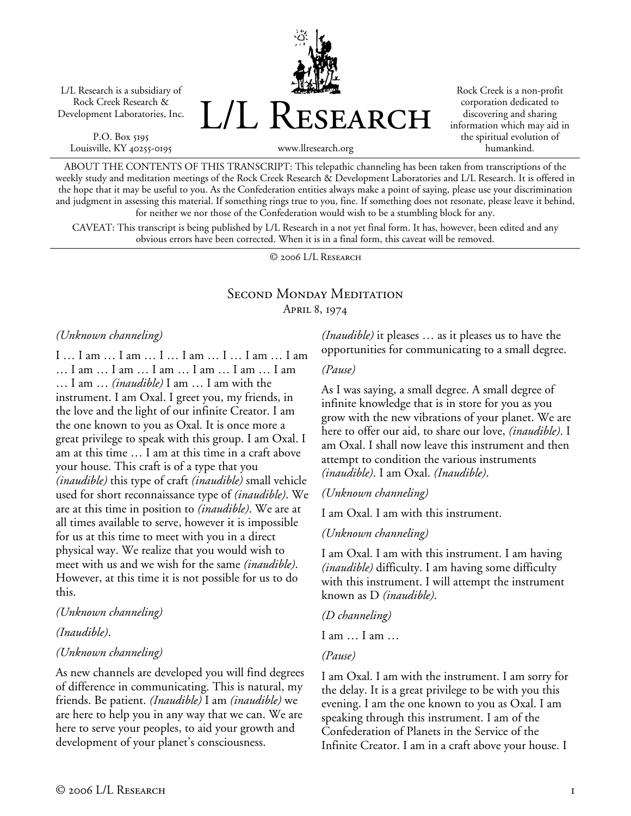L/L Research is a subsidiary of Rock Creek Research & Development Laboratories, Inc.

P.O. Box 5195 Louisville, KY 40255-0195 L/L Research

Rock Creek is a non-profit corporation dedicated to discovering and sharing information which may aid in the spiritual evolution of humankind.

www.llresearch.org

ABOUT THE CONTENTS OF THIS TRANSCRIPT: This telepathic channeling has been taken from transcriptions of the weekly study and meditation meetings of the Rock Creek Research & Development Laboratories and L/L Research. It is offered in the hope that it may be useful to you. As the Confederation entities always make a point of saying, please use your discrimination and judgment in assessing this material. If something rings true to you, fine. If something does not resonate, please leave it behind, for neither we nor those of the Confederation would wish to be a stumbling block for any.

CAVEAT: This transcript is being published by L/L Research in a not yet final form. It has, however, been edited and any obvious errors have been corrected. When it is in a final form, this caveat will be removed.

© 2006 L/L Research

# Second Monday Meditation April 8, 1974

#### *(Unknown channeling)*

I … I am … I am … I … I am … I … I am … I am … I am … I am … I am … I am … I am … I am … I am … *(inaudible)* I am … I am with the instrument. I am Oxal. I greet you, my friends, in the love and the light of our infinite Creator. I am the one known to you as Oxal. It is once more a great privilege to speak with this group. I am Oxal. I am at this time … I am at this time in a craft above your house. This craft is of a type that you *(inaudible)* this type of craft *(inaudible)* small vehicle used for short reconnaissance type of *(inaudible)*. We are at this time in position to *(inaudible)*. We are at all times available to serve, however it is impossible for us at this time to meet with you in a direct physical way. We realize that you would wish to meet with us and we wish for the same *(inaudible)*. However, at this time it is not possible for us to do this.

#### *(Unknown channeling)*

*(Inaudible)*.

### *(Unknown channeling)*

As new channels are developed you will find degrees of difference in communicating. This is natural, my friends. Be patient. *(Inaudible)* I am *(inaudible)* we are here to help you in any way that we can. We are here to serve your peoples, to aid your growth and development of your planet's consciousness.

*(Inaudible)* it pleases … as it pleases us to have the opportunities for communicating to a small degree.

### *(Pause)*

As I was saying, a small degree. A small degree of infinite knowledge that is in store for you as you grow with the new vibrations of your planet. We are here to offer our aid, to share our love, *(inaudible)*. I am Oxal. I shall now leave this instrument and then attempt to condition the various instruments *(inaudible)*. I am Oxal. *(Inaudible)*.

### *(Unknown channeling)*

I am Oxal. I am with this instrument.

### *(Unknown channeling)*

I am Oxal. I am with this instrument. I am having *(inaudible)* difficulty. I am having some difficulty with this instrument. I will attempt the instrument known as D *(inaudible)*.

*(D channeling)* 

I am … I am …

### *(Pause)*

I am Oxal. I am with the instrument. I am sorry for the delay. It is a great privilege to be with you this evening. I am the one known to you as Oxal. I am speaking through this instrument. I am of the Confederation of Planets in the Service of the Infinite Creator. I am in a craft above your house. I